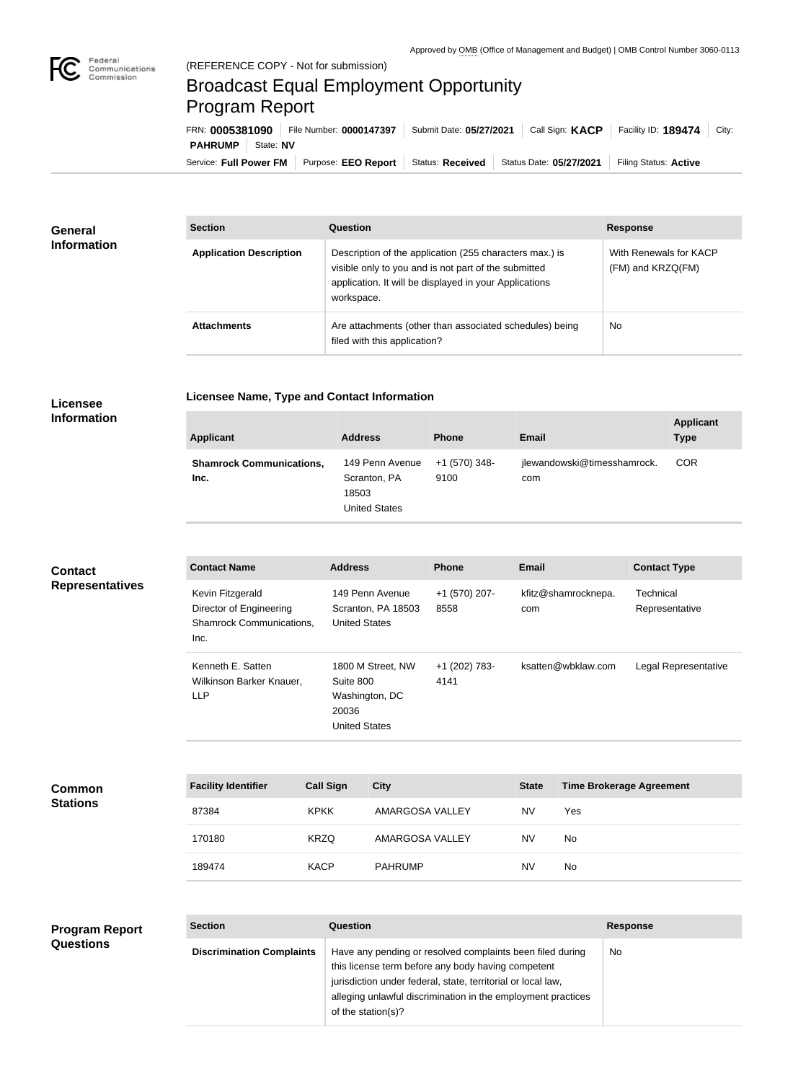

## Broadcast Equal Employment Opportunity Program Report

**Licensee Name, Type and Contact Information**

Service: Full Power FM Purpose: EEO Report | Status: Received | Status Date: 05/27/2021 | Filing Status: Active **PAHRUMP** State: NV FRN: **0005381090** File Number: **0000147397** Submit Date: **05/27/2021** Call Sign: **KACP** Facility ID: **189474** City:

| <b>General</b><br><b>Information</b> | <b>Section</b>                 | Question                                                                                                                                                                                | <b>Response</b>                                 |
|--------------------------------------|--------------------------------|-----------------------------------------------------------------------------------------------------------------------------------------------------------------------------------------|-------------------------------------------------|
|                                      | <b>Application Description</b> | Description of the application (255 characters max.) is<br>visible only to you and is not part of the submitted<br>application. It will be displayed in your Applications<br>workspace. | With Renewals for KACP<br>$(FM)$ and $KRZQ(FM)$ |
|                                      | <b>Attachments</b>             | Are attachments (other than associated schedules) being<br>filed with this application?                                                                                                 | <b>No</b>                                       |

## **Licensee Information**

**Common Stations**

| <b>Applicant</b>                        | <b>Address</b>                                            | <b>Phone</b>          | Email                              | <b>Applicant</b><br><b>Type</b> |
|-----------------------------------------|-----------------------------------------------------------|-----------------------|------------------------------------|---------------------------------|
| <b>Shamrock Communications,</b><br>Inc. | 149 Penn Avenue<br>Scranton, PA<br>18503<br>United States | +1 (570) 348-<br>9100 | jlewandowski@timesshamrock.<br>com | <b>COR</b>                      |

| <b>Contact</b><br><b>Representatives</b> | <b>Contact Name</b>                                                                    | <b>Address</b>                                                                    | <b>Phone</b>          | <b>Email</b>               | <b>Contact Type</b>         |
|------------------------------------------|----------------------------------------------------------------------------------------|-----------------------------------------------------------------------------------|-----------------------|----------------------------|-----------------------------|
|                                          | Kevin Fitzgerald<br>Director of Engineering<br><b>Shamrock Communications,</b><br>Inc. | 149 Penn Avenue<br>Scranton, PA 18503<br><b>United States</b>                     | +1 (570) 207-<br>8558 | kfitz@shamrocknepa.<br>com | Technical<br>Representative |
|                                          | Kenneth E. Satten<br>Wilkinson Barker Knauer,<br>LLP                                   | 1800 M Street, NW<br>Suite 800<br>Washington, DC<br>20036<br><b>United States</b> | +1 (202) 783-<br>4141 | ksatten@wbklaw.com         | Legal Representative        |

| <b>Facility Identifier</b> | <b>Call Sign</b> | <b>City</b>     | <b>State</b> | <b>Time Brokerage Agreement</b> |
|----------------------------|------------------|-----------------|--------------|---------------------------------|
| 87384                      | <b>KPKK</b>      | AMARGOSA VALLEY | <b>NV</b>    | Yes                             |
| 170180                     | <b>KRZQ</b>      | AMARGOSA VALLEY | <b>NV</b>    | <b>No</b>                       |
| 189474                     | <b>KACP</b>      | <b>PAHRUMP</b>  | <b>NV</b>    | <b>No</b>                       |

| <b>Program Report</b><br><b>Questions</b> | <b>Section</b>                   | <b>Question</b>                                                                                                                                                                                                                                                       | <b>Response</b> |
|-------------------------------------------|----------------------------------|-----------------------------------------------------------------------------------------------------------------------------------------------------------------------------------------------------------------------------------------------------------------------|-----------------|
|                                           | <b>Discrimination Complaints</b> | Have any pending or resolved complaints been filed during<br>this license term before any body having competent<br>jurisdiction under federal, state, territorial or local law,<br>alleging unlawful discrimination in the employment practices<br>of the station(s)? | No              |